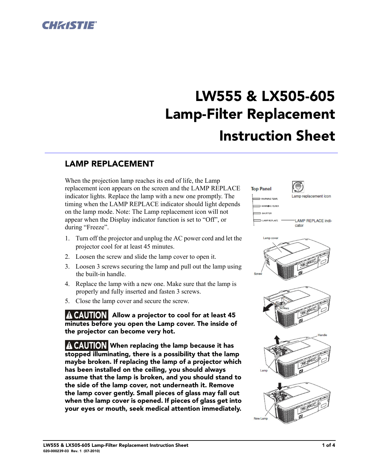

# LW555 & LX505-605 Lamp-Filter Replacement Instruction Sheet

## LAMP REPLACEMENT

When the projection lamp reaches its end of life, the Lamp replacement icon appears on the screen and the LAMP REPLACE indicator lights. Replace the lamp with a new one promptly. The timing when the LAMP REPLACE indicator should light depends on the lamp mode. Note: The Lamp replacement icon will not appear when the Display indicator function is set to "Off", or during "Freeze".

- 1. Turn off the projector and unplug the AC power cord and let the projector cool for at least 45 minutes.
- 2. Loosen the screw and slide the lamp cover to open it.
- 3. Loosen 3 screws securing the lamp and pull out the lamp using the built-in handle.
- 4. Replace the lamp with a new one. Make sure that the lamp is properly and fully inserted and fasten 3 screws.
- 5. Close the lamp cover and secure the screw.

A CAUTION Allow a projector to cool for at least 45 minutes before you open the Lamp cover. The inside of the projector can become very hot.

A CAUTION When replacing the lamp because it has stopped illuminating, there is a possibility that the lamp maybe broken. If replacing the lamp of a projector which has been installed on the ceiling, you should always assume that the lamp is broken, and you should stand to the side of the lamp cover, not underneath it. Remove the lamp cover gently. Small pieces of glass may fall out when the lamp cover is opened. If pieces of glass get into your eyes or mouth, seek medical attention immediately.

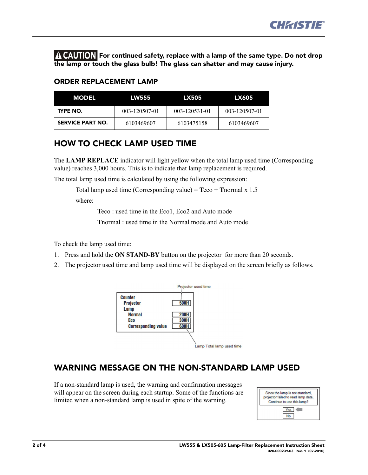

For continued safety, replace with a lamp of the same type. Do not drop the lamp or touch the glass bulb! The glass can shatter and may cause injury.

#### ORDER REPLACEMENT LAMP

| <b>MODEL</b>     | <b>LW555</b>  | LX505         | LX605         |
|------------------|---------------|---------------|---------------|
| TYPE NO.         | 003-120507-01 | 003-120531-01 | 003-120507-01 |
| SERVICE PART NO. | 6103469607    | 6103475158    | 6103469607    |

#### HOW TO CHECK LAMP USED TIME

The **LAMP REPLACE** indicator will light yellow when the total lamp used time (Corresponding value) reaches 3,000 hours. This is to indicate that lamp replacement is required.

The total lamp used time is calculated by using the following expression:

```
Total lamp used time (Corresponding value) = Teco + Tnormal x 1.5
```
where:

**T**eco : used time in the Eco1, Eco2 and Auto mode

**T**normal : used time in the Normal mode and Auto mode

To check the lamp used time:

- 1. Press and hold the **ON STAND-BY** button on the projector for more than 20 seconds.
- 2. The projector used time and lamp used time will be displayed on the screen briefly as follows.



## WARNING MESSAGE ON THE NON-STANDARD LAMP USED

If a non-standard lamp is used, the warning and confirmation messages will appear on the screen during each startup. Some of the functions are limited when a non-standard lamp is used in spite of the warning.

| Since the lamp is not standard,<br>projector failed to read lamp data.<br>Continue to use this lamp? |  |  |
|------------------------------------------------------------------------------------------------------|--|--|
| Yes                                                                                                  |  |  |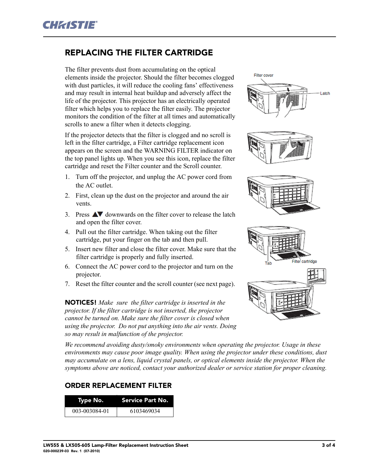## REPLACING THE FILTER CARTRIDGE

The filter prevents dust from accumulating on the optical elements inside the projector. Should the filter becomes clogged with dust particles, it will reduce the cooling fans' effectiveness and may result in internal heat buildup and adversely affect the life of the projector. This projector has an electrically operated filter which helps you to replace the filter easily. The projector monitors the condition of the filter at all times and automatically scrolls to anew a filter when it detects clogging.

If the projector detects that the filter is clogged and no scroll is left in the filter cartridge, a Filter cartridge replacement icon appears on the screen and the WARNING FILTER indicator on the top panel lights up. When you see this icon, replace the filter cartridge and reset the Filter counter and the Scroll counter.

- 1. Turn off the projector, and unplug the AC power cord from the AC outlet.
- 2. First, clean up the dust on the projector and around the air vents.
- 3. Press  $\triangle\blacktriangledown$  downwards on the filter cover to release the latch and open the filter cover.
- 4. Pull out the filter cartridge. When taking out the filter cartridge, put your finger on the tab and then pull.
- 5. Insert new filter and close the filter cover. Make sure that the filter cartridge is properly and fully inserted.
- 6. Connect the AC power cord to the projector and turn on the projector.
- 7. Reset the filter counter and the scroll counter (see next page).

NOTICES! *Make sure the filter cartridge is inserted in the projector. If the filter cartridge is not inserted, the projector cannot be turned on. Make sure the filter cover is closed when using the projector. Do not put anything into the air vents. Doing so may result in malfunction of the projector.*

Filter cover Latch

*We recommend avoiding dusty/smoky environments when operating the projector. Usage in these environments may cause poor image quality. When using the projector under these conditions, dust may accumulate on a lens, liquid crystal panels, or optical elements inside the projector. When the symptoms above are noticed, contact your authorized dealer or service station for proper cleaning.*

#### ORDER REPLACEMENT FILTER

| Type No.      | Service Part No. |  |
|---------------|------------------|--|
| 003-003084-01 | 6103469034       |  |